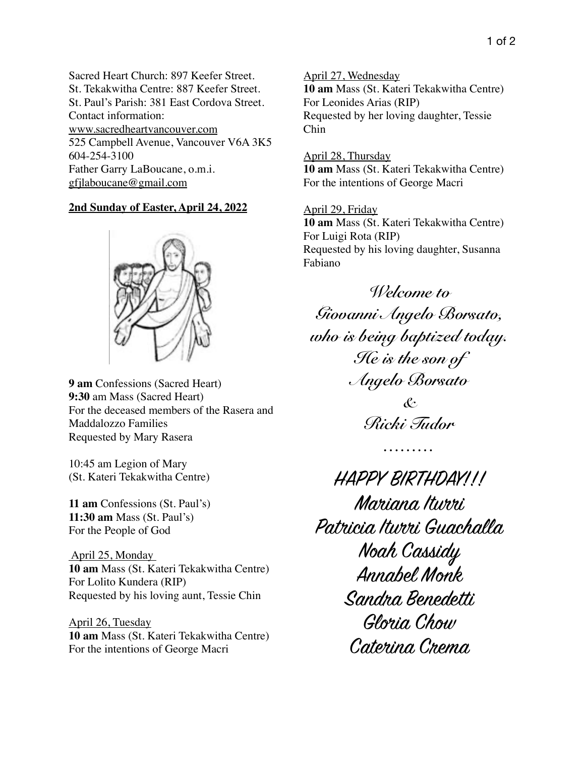Sacred Heart Church: 897 Keefer Street. St. Tekakwitha Centre: 887 Keefer Street. St. Paul's Parish: 381 East Cordova Street. Contact information: www.sacredheartvancouver.com 525 Campbell Avenue, Vancouver V6A 3K5 604-254-3100 Father Garry LaBoucane, o.m.i. [gfjlaboucane@gmail.com](mailto:gfjlaboucane@gmail.com)

## **2nd Sunday of Easter, April 24, 2022**



**9 am** Confessions (Sacred Heart) **9:30** am Mass (Sacred Heart) For the deceased members of the Rasera and Maddalozzo Families Requested by Mary Rasera

10:45 am Legion of Mary (St. Kateri Tekakwitha Centre)

**11 am** Confessions (St. Paul's) **11:30 am** Mass (St. Paul's) For the People of God

 April 25, Monday **10 am** Mass (St. Kateri Tekakwitha Centre) For Lolito Kundera (RIP) Requested by his loving aunt, Tessie Chin

April 26, Tuesday **10 am** Mass (St. Kateri Tekakwitha Centre) For the intentions of George Macri

April 27, Wednesday **10 am** Mass (St. Kateri Tekakwitha Centre) For Leonides Arias (RIP) Requested by her loving daughter, Tessie Chin

April 28, Thursday **10 am** Mass (St. Kateri Tekakwitha Centre) For the intentions of George Macri

April 29, Friday **10 am** Mass (St. Kateri Tekakwitha Centre) For Luigi Rota (RIP) Requested by his loving daughter, Susanna Fabiano

*Welcome to Giovanni Angelo Borsato, who is being baptized today. He is the son of Angelo Borsato & Ricki Tudor*

*………*

HAPPY BIRTHDAY!!! Mariana Iturri Patricia Iturri Guachalla Noah Cassidy Annabel Monk Sandra Benedetti Gloria Chow Caterina Crema